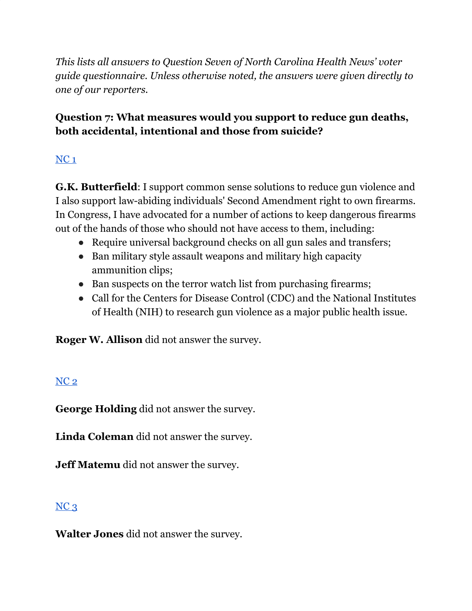*This lists all answers to Question Seven of North Carolina Health News' voter guide questionnaire. Unless otherwise noted, the answers were given directly to one of our reporters.*

### **Question 7: What measures would you support to reduce gun deaths, both accidental, intentional and those from suicide?**

# [NC](https://docs.google.com/document/d/1QKoGh33FjmS89YNY1wDfJ6fB9ikH0fC117WjizExMhc/edit?usp=sharing) 1

**G.K. Butterfield**: I support common sense solutions to reduce gun violence and I also support law-abiding individuals' Second Amendment right to own firearms. In Congress, I have advocated for a number of actions to keep dangerous firearms out of the hands of those who should not have access to them, including:

- Require universal background checks on all gun sales and transfers;
- Ban military style assault weapons and military high capacity ammunition clips;
- Ban suspects on the terror watch list from purchasing firearms;
- Call for the Centers for Disease Control (CDC) and the National Institutes of Health (NIH) to research gun violence as a major public health issue.

**Roger W. Allison** did not answer the survey.

### [NC](https://docs.google.com/document/d/1QKoGh33FjmS89YNY1wDfJ6fB9ikH0fC117WjizExMhc/edit?usp=sharing) 2

**George Holding** did not answer the survey.

**Linda Coleman** did not answer the survey.

**Jeff Matemu** did not answer the survey.

### $NC<sub>3</sub>$  $NC<sub>3</sub>$

**Walter Jones** did not answer the survey.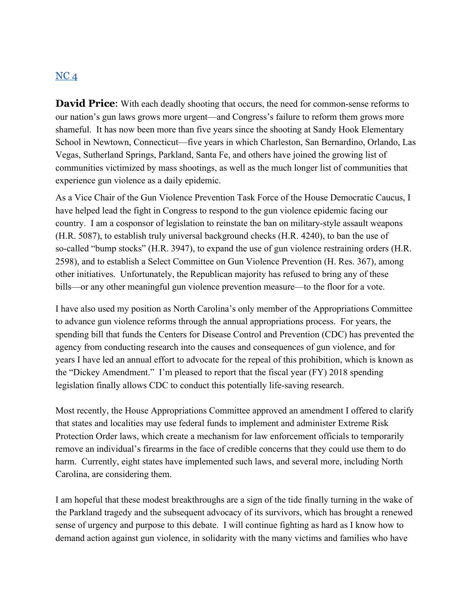#### $NC<sub>4</sub>$  $NC<sub>4</sub>$

**David Price:** With each deadly shooting that occurs, the need for common-sense reforms to our nation's gun laws grows more urgent—and Congress's failure to reform them grows more shameful. It has now been more than five years since the shooting at Sandy Hook Elementary School in Newtown, Connecticut—five years in which Charleston, San Bernardino, Orlando, Las Vegas, Sutherland Springs, Parkland, Santa Fe, and others have joined the growing list of communities victimized by mass shootings, as well as the much longer list of communities that experience gun violence as a daily epidemic.

As a Vice Chair of the Gun Violence Prevention Task Force of the House Democratic Caucus, I have helped lead the fight in Congress to respond to the gun violence epidemic facing our country. I am a cosponsor of legislation to reinstate the ban on military-style assault weapons (H.R. 5087), to establish truly universal background checks (H.R. 4240), to ban the use of so-called "bump stocks" (H.R. 3947), to expand the use of gun violence restraining orders (H.R. 2598), and to establish a Select Committee on Gun Violence Prevention (H. Res. 367), among other initiatives. Unfortunately, the Republican majority has refused to bring any of these bills—or any other meaningful gun violence prevention measure—to the floor for a vote.

I have also used my position as North Carolina's only member of the Appropriations Committee to advance gun violence reforms through the annual appropriations process. For years, the spending bill that funds the Centers for Disease Control and Prevention (CDC) has prevented the agency from conducting research into the causes and consequences of gun violence, and for years I have led an annual effort to advocate for the repeal of this prohibition, which is known as the "Dickey Amendment." I'm pleased to report that the fiscal year (FY) 2018 spending legislation finally allows CDC to conduct this potentially life-saving research.

Most recently, the House Appropriations Committee approved an amendment I offered to clarify that states and localities may use federal funds to implement and administer Extreme Risk Protection Order laws, which create a mechanism for law enforcement officials to temporarily remove an individual's firearms in the face of credible concerns that they could use them to do harm. Currently, eight states have implemented such laws, and several more, including North Carolina, are considering them.

I am hopeful that these modest breakthroughs are a sign of the tide finally turning in the wake of the Parkland tragedy and the subsequent advocacy of its survivors, which has brought a renewed sense of urgency and purpose to this debate. I will continue fighting as hard as I know how to demand action against gun violence, in solidarity with the many victims and families who have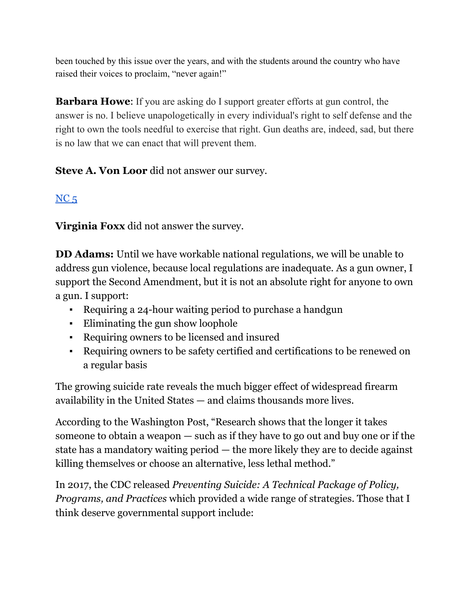been touched by this issue over the years, and with the students around the country who have raised their voices to proclaim, "never again!"

**Barbara Howe**: If you are asking do I support greater efforts at gun control, the answer is no. I believe unapologetically in every individual's right to self defense and the right to own the tools needful to exercise that right. Gun deaths are, indeed, sad, but there is no law that we can enact that will prevent them.

**Steve A. Von Loor** did not answer our survey.

# $NC<sub>5</sub>$  $NC<sub>5</sub>$

**Virginia Foxx** did not answer the survey.

**DD Adams:** Until we have workable national regulations, we will be unable to address gun violence, because local regulations are inadequate. As a gun owner, I support the Second Amendment, but it is not an absolute right for anyone to own a gun. I support:

- Requiring a 24-hour waiting period to purchase a handgun
- Eliminating the gun show loophole
- Requiring owners to be licensed and insured
- Requiring owners to be safety certified and certifications to be renewed on a regular basis

The growing suicide rate reveals the much bigger effect of widespread firearm availability in the United States — and claims thousands more lives.

According to the Washington Post, "Research shows that the longer it takes someone to obtain a weapon — such as if they have to go out and buy one or if the state has a mandatory waiting period — the more likely they are to decide against killing themselves or choose an alternative, less lethal method."

In 2017, the CDC released *Preventing Suicide: A Technical Package of Policy, Programs, and Practices* which provided a wide range of strategies. Those that I think deserve governmental support include: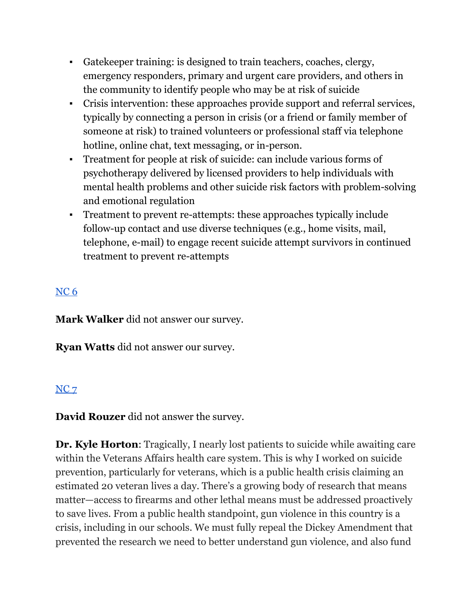- Gatekeeper training: is designed to train teachers, coaches, clergy, emergency responders, primary and urgent care providers, and others in the community to identify people who may be at risk of suicide
- Crisis intervention: these approaches provide support and referral services, typically by connecting a person in crisis (or a friend or family member of someone at risk) to trained volunteers or professional staff via telephone hotline, online chat, text messaging, or in-person.
- Treatment for people at risk of suicide: can include various forms of psychotherapy delivered by licensed providers to help individuals with mental health problems and other suicide risk factors with problem-solving and emotional regulation
- Treatment to prevent re-attempts: these approaches typically include follow-up contact and use diverse techniques (e.g., home visits, mail, telephone, e-mail) to engage recent suicide attempt survivors in continued treatment to prevent re-attempts

# [NC](https://docs.google.com/document/d/1cAsotr6xS9I-V4NP1ueB3T1dzRsHO07YN2hMv9b4xU0/edit?usp=sharing) 6

**Mark Walker** did not answer our survey.

**Ryan Watts** did not answer our survey.

### [NC](https://docs.google.com/document/d/1QKoGh33FjmS89YNY1wDfJ6fB9ikH0fC117WjizExMhc/edit?usp=sharing) 7

**David Rouzer** did not answer the survey.

**Dr. Kyle Horton**: Tragically, I nearly lost patients to suicide while awaiting care within the Veterans Affairs health care system. This is why I worked on suicide prevention, particularly for veterans, which is a public health crisis claiming an estimated 20 veteran lives a day. There's a growing body of research that means matter—access to firearms and other lethal means must be addressed proactively to save lives. From a public health standpoint, gun violence in this country is a crisis, including in our schools. We must fully repeal the Dickey Amendment that prevented the research we need to better understand gun violence, and also fund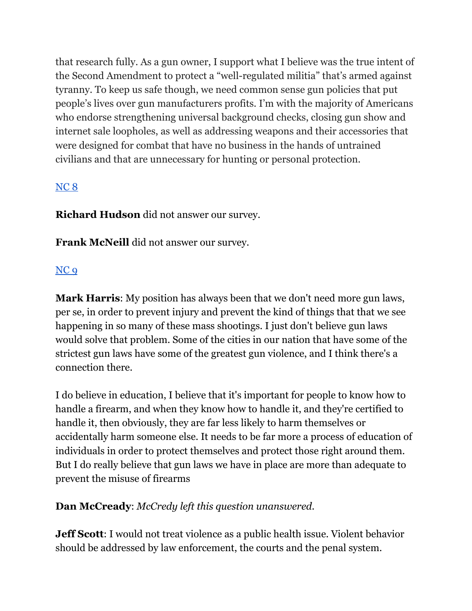that research fully. As a gun owner, I support what I believe was the true intent of the Second Amendment to protect a "well-regulated militia" that's armed against tyranny. To keep us safe though, we need common sense gun policies that put people's lives over gun manufacturers profits. I'm with the majority of Americans who endorse strengthening universal background checks, closing gun show and internet sale loopholes, as well as addressing weapons and their accessories that were designed for combat that have no business in the hands of untrained civilians and that are unnecessary for hunting or personal protection.

#### [NC](https://docs.google.com/document/d/1cAsotr6xS9I-V4NP1ueB3T1dzRsHO07YN2hMv9b4xU0/edit?usp=sharing) 8

**Richard Hudson** did not answer our survey.

**Frank McNeill** did not answer our survey.

#### [NC](https://docs.google.com/document/d/1cAsotr6xS9I-V4NP1ueB3T1dzRsHO07YN2hMv9b4xU0/edit?usp=sharing) 9

**Mark Harris**: My position has always been that we don't need more gun laws, per se, in order to prevent injury and prevent the kind of things that that we see happening in so many of these mass shootings. I just don't believe gun laws would solve that problem. Some of the cities in our nation that have some of the strictest gun laws have some of the greatest gun violence, and I think there's a connection there.

I do believe in education, I believe that it's important for people to know how to handle a firearm, and when they know how to handle it, and they're certified to handle it, then obviously, they are far less likely to harm themselves or accidentally harm someone else. It needs to be far more a process of education of individuals in order to protect themselves and protect those right around them. But I do really believe that gun laws we have in place are more than adequate to prevent the misuse of firearms

#### **Dan McCready**: *McCredy left this question unanswered.*

**Jeff Scott**: I would not treat violence as a public health issue. Violent behavior should be addressed by law enforcement, the courts and the penal system.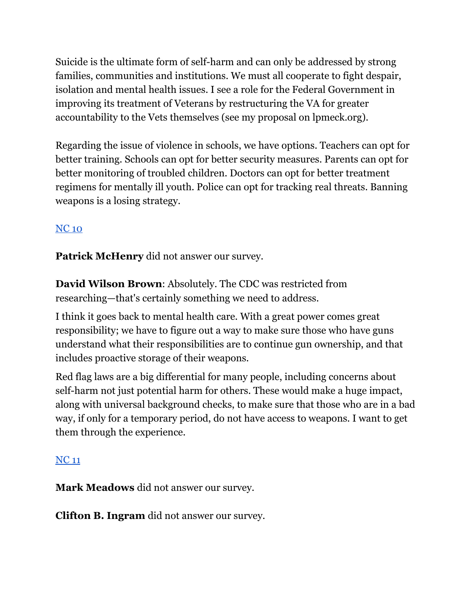Suicide is the ultimate form of self-harm and can only be addressed by strong families, communities and institutions. We must all cooperate to fight despair, isolation and mental health issues. I see a role for the Federal Government in improving its treatment of Veterans by restructuring the VA for greater accountability to the Vets themselves (see my proposal on lpmeck.org).

Regarding the issue of violence in schools, we have options. Teachers can opt for better training. Schools can opt for better security measures. Parents can opt for better monitoring of troubled children. Doctors can opt for better treatment regimens for mentally ill youth. Police can opt for tracking real threats. Banning weapons is a losing strategy.

# [NC](https://docs.google.com/document/d/1EwcDTcuh6JGaw8mrxqMd1mif60VC1AoJttBCXQFIKtA/edit?usp=sharing) 10

**Patrick McHenry** did not answer our survey.

**David Wilson Brown**: Absolutely. The CDC was restricted from researching—that's certainly something we need to address.

I think it goes back to mental health care. With a great power comes great responsibility; we have to figure out a way to make sure those who have guns understand what their responsibilities are to continue gun ownership, and that includes proactive storage of their weapons.

Red flag laws are a big differential for many people, including concerns about self-harm not just potential harm for others. These would make a huge impact, along with universal background checks, to make sure that those who are in a bad way, if only for a temporary period, do not have access to weapons. I want to get them through the experience.

### [NC](https://docs.google.com/document/d/1EwcDTcuh6JGaw8mrxqMd1mif60VC1AoJttBCXQFIKtA/edit?usp=sharing) 11

**Mark Meadows** did not answer our survey.

**Clifton B. Ingram** did not answer our survey.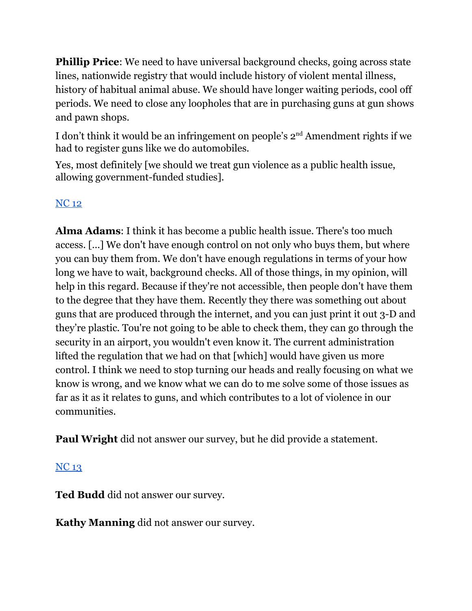**Phillip Price:** We need to have universal background checks, going across state lines, nationwide registry that would include history of violent mental illness, history of habitual animal abuse. We should have longer waiting periods, cool off periods. We need to close any loopholes that are in purchasing guns at gun shows and pawn shops.

I don't think it would be an infringement on people's 2nd Amendment rights if we had to register guns like we do automobiles.

Yes, most definitely [we should we treat gun violence as a public health issue, allowing government-funded studies].

# [NC](https://docs.google.com/document/d/1EwcDTcuh6JGaw8mrxqMd1mif60VC1AoJttBCXQFIKtA/edit?usp=sharing) 12

**Alma Adams**: I think it has become a public health issue. There's too much access. […] We don't have enough control on not only who buys them, but where you can buy them from. We don't have enough regulations in terms of your how long we have to wait, background checks. All of those things, in my opinion, will help in this regard. Because if they're not accessible, then people don't have them to the degree that they have them. Recently they there was something out about guns that are produced through the internet, and you can just print it out 3-D and they're plastic. Tou're not going to be able to check them, they can go through the security in an airport, you wouldn't even know it. The current administration lifted the regulation that we had on that [which] would have given us more control. I think we need to stop turning our heads and really focusing on what we know is wrong, and we know what we can do to me solve some of those issues as far as it as it relates to guns, and which contributes to a lot of violence in our communities.

**Paul Wright** did not answer our survey, but he did provide a statement.

### [NC](https://docs.google.com/document/d/1cAsotr6xS9I-V4NP1ueB3T1dzRsHO07YN2hMv9b4xU0/edit?usp=sharing) 13

**Ted Budd** did not answer our survey.

**Kathy Manning** did not answer our survey.